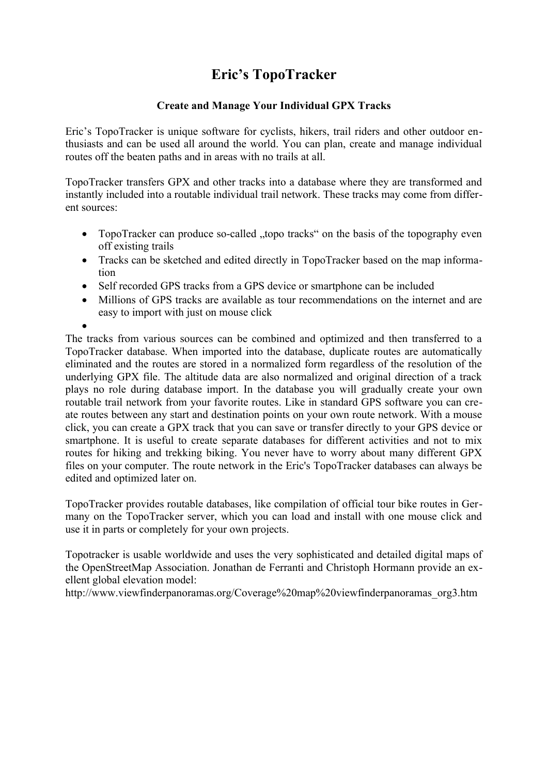### **Eric's TopoTracker**

#### **Create and Manage Your Individual GPX Tracks**

Eric's TopoTracker is unique software for cyclists, hikers, trail riders and other outdoor enthusiasts and can be used all around the world. You can plan, create and manage individual routes off the beaten paths and in areas with no trails at all.

TopoTracker transfers GPX and other tracks into a database where they are transformed and instantly included into a routable individual trail network. These tracks may come from different sources:

- TopoTracker can produce so-called "topo tracks" on the basis of the topography even off existing trails
- Tracks can be sketched and edited directly in TopoTracker based on the map information
- Self recorded GPS tracks from a GPS device or smartphone can be included
- Millions of GPS tracks are available as tour recommendations on the internet and are easy to import with just on mouse click

 $\bullet$ The tracks from various sources can be combined and optimized and then transferred to a TopoTracker database. When imported into the database, duplicate routes are automatically eliminated and the routes are stored in a normalized form regardless of the resolution of the underlying GPX file. The altitude data are also normalized and original direction of a track plays no role during database import. In the database you will gradually create your own routable trail network from your favorite routes. Like in standard GPS software you can create routes between any start and destination points on your own route network. With a mouse click, you can create a GPX track that you can save or transfer directly to your GPS device or smartphone. It is useful to create separate databases for different activities and not to mix routes for hiking and trekking biking. You never have to worry about many different GPX files on your computer. The route network in the Eric's TopoTracker databases can always be edited and optimized later on.

TopoTracker provides routable databases, like compilation of official tour bike routes in Germany on the TopoTracker server, which you can load and install with one mouse click and use it in parts or completely for your own projects.

Topotracker is usable worldwide and uses the very sophisticated and detailed digital maps of the OpenStreetMap Association. Jonathan de Ferranti and Christoph Hormann provide an exellent global elevation model:

http://www.viewfinderpanoramas.org/Coverage%20map%20viewfinderpanoramas\_org3.htm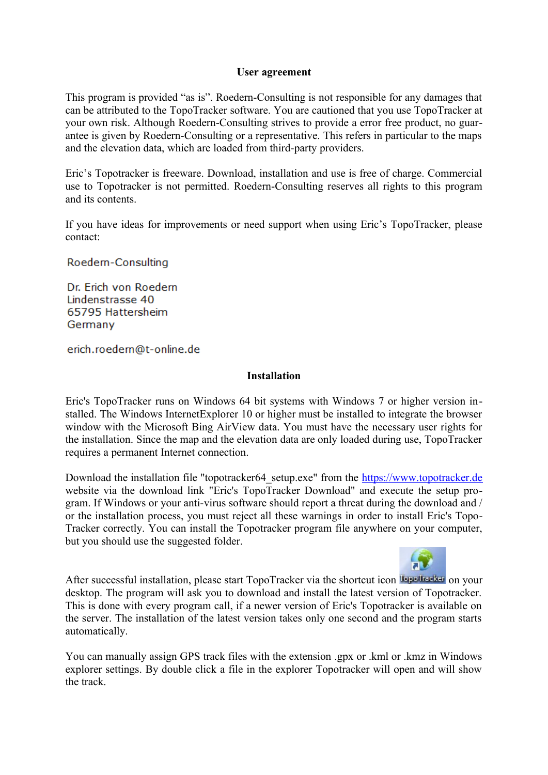#### **User agreement**

This program is provided "as is". Roedern-Consulting is not responsible for any damages that can be attributed to the TopoTracker software. You are cautioned that you use TopoTracker at your own risk. Although Roedern-Consulting strives to provide a error free product, no guarantee is given by Roedern-Consulting or a representative. This refers in particular to the maps and the elevation data, which are loaded from third-party providers.

Eric's Topotracker is freeware. Download, installation and use is free of charge. Commercial use to Topotracker is not permitted. Roedern-Consulting reserves all rights to this program and its contents.

If you have ideas for improvements or need support when using Eric's TopoTracker, please contact:

Roedern-Consulting

Dr. Erich von Roedern Lindenstrasse 40 65795 Hattersheim Germany

erich.roedern@t-online.de

#### **Installation**

Eric's TopoTracker runs on Windows 64 bit systems with Windows 7 or higher version installed. The Windows InternetExplorer 10 or higher must be installed to integrate the browser window with the Microsoft Bing AirView data. You must have the necessary user rights for the installation. Since the map and the elevation data are only loaded during use, TopoTracker requires a permanent Internet connection.

Download the installation file "topotracker64 setup.exe" from the [https://www.topotracker.de](https://www.topotracker.de/) website via the download link "Eric's TopoTracker Download" and execute the setup program. If Windows or your anti-virus software should report a threat during the download and / or the installation process, you must reject all these warnings in order to install Eric's Topo-Tracker correctly. You can install the Topotracker program file anywhere on your computer, but you should use the suggested folder.



After successful installation, please start TopoTracker via the shortcut icon lope hader on your desktop. The program will ask you to download and install the latest version of Topotracker. This is done with every program call, if a newer version of Eric's Topotracker is available on the server. The installation of the latest version takes only one second and the program starts automatically.

You can manually assign GPS track files with the extension .gpx or .kml or .kmz in Windows explorer settings. By double click a file in the explorer Topotracker will open and will show the track.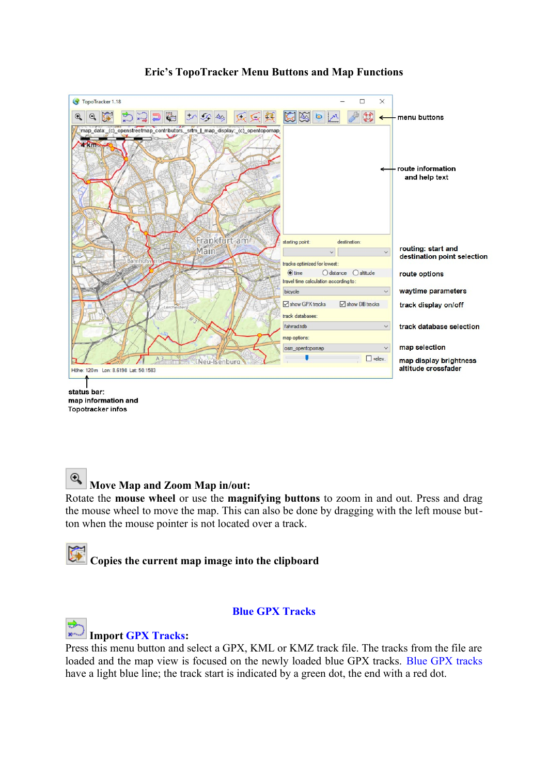

#### **Eric's TopoTracker Menu Buttons and Map Functions**

status bar: map information and Topotracker infos

#### $\mathbb{Q}$  **Move Map and Zoom Map in/out:**

Rotate the **mouse wheel** or use the **magnifying buttons** to zoom in and out. Press and drag the mouse wheel to move the map. This can also be done by dragging with the left mouse button when the mouse pointer is not located over a track.

# **Copies the current map image into the clipboard**

#### **Blue GPX Tracks**

#### **Import GPX Tracks:**

Press this menu button and select a GPX, KML or KMZ track file. The tracks from the file are loaded and the map view is focused on the newly loaded blue GPX tracks. Blue GPX tracks have a light blue line; the track start is indicated by a green dot, the end with a red dot.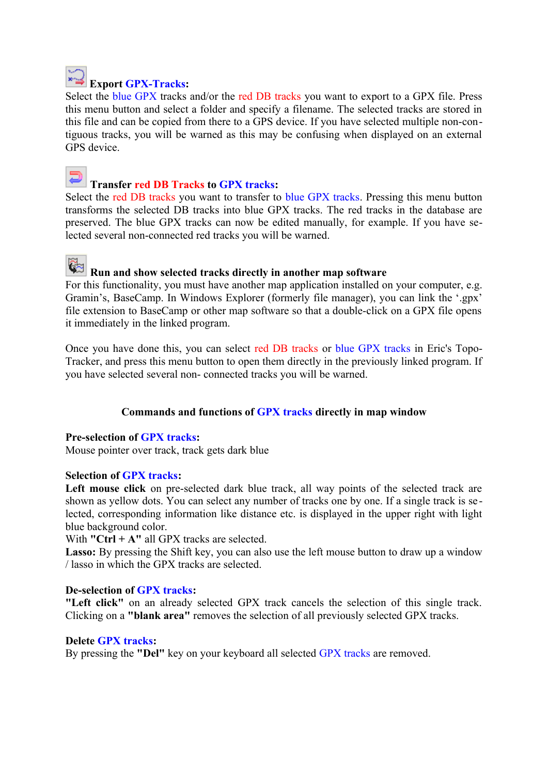

### **Export GPX-Tracks:**

Select the blue GPX tracks and/or the red DB tracks you want to export to a GPX file. Press this menu button and select a folder and specify a filename. The selected tracks are stored in this file and can be copied from there to a GPS device. If you have selected multiple non-contiguous tracks, you will be warned as this may be confusing when displayed on an external GPS device.



#### **Transfer red DB Tracks to GPX tracks:**

Select the red DB tracks you want to transfer to blue GPX tracks. Pressing this menu button transforms the selected DB tracks into blue GPX tracks. The red tracks in the database are preserved. The blue GPX tracks can now be edited manually, for example. If you have selected several non-connected red tracks you will be warned.

# **Run and show selected tracks directly in another map software**

For this functionality, you must have another map application installed on your computer, e.g. Gramin's, BaseCamp. In Windows Explorer (formerly file manager), you can link the '.gpx' file extension to BaseCamp or other map software so that a double-click on a GPX file opens it immediately in the linked program.

Once you have done this, you can select red DB tracks or blue GPX tracks in Eric's Topo-Tracker, and press this menu button to open them directly in the previously linked program. If you have selected several non- connected tracks you will be warned.

#### **Commands and functions of GPX tracks directly in map window**

#### **Pre-selection of GPX tracks:**

Mouse pointer over track, track gets dark blue

#### **Selection of GPX tracks:**

Left mouse click on pre-selected dark blue track, all way points of the selected track are shown as yellow dots. You can select any number of tracks one by one. If a single track is se lected, corresponding information like distance etc. is displayed in the upper right with light blue background color.

With **"Ctrl + A"** all GPX tracks are selected.

Lasso: By pressing the Shift key, you can also use the left mouse button to draw up a window / lasso in which the GPX tracks are selected.

#### **De-selection of GPX tracks:**

**"Left click"** on an already selected GPX track cancels the selection of this single track. Clicking on a **"blank area"** removes the selection of all previously selected GPX tracks.

#### **Delete GPX tracks:**

By pressing the **"Del"** key on your keyboard all selected GPX tracks are removed.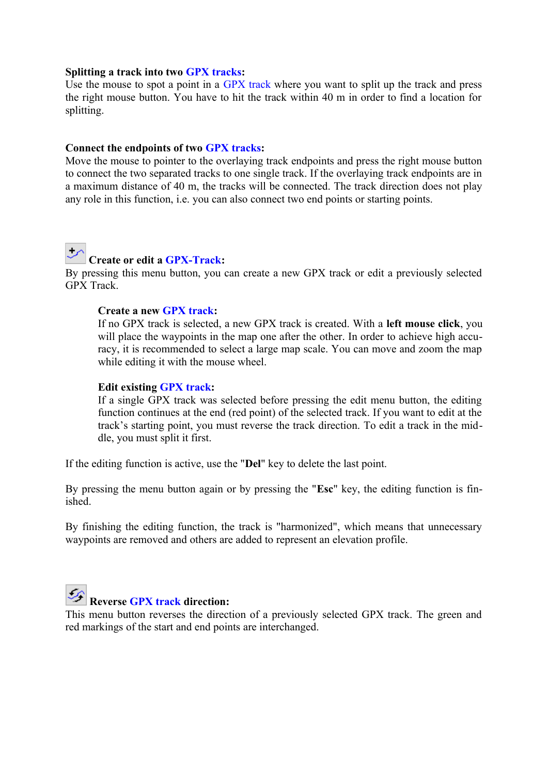#### **Splitting a track into two GPX tracks:**

Use the mouse to spot a point in a GPX track where you want to split up the track and press the right mouse button. You have to hit the track within 40 m in order to find a location for splitting.

#### **Connect the endpoints of two GPX tracks:**

Move the mouse to pointer to the overlaying track endpoints and press the right mouse button to connect the two separated tracks to one single track. If the overlaying track endpoints are in a maximum distance of 40 m, the tracks will be connected. The track direction does not play any role in this function, i.e. you can also connect two end points or starting points.



### **Create or edit a GPX-Track:**

By pressing this menu button, you can create a new GPX track or edit a previously selected GPX Track.

#### **Create a new GPX track:**

If no GPX track is selected, a new GPX track is created. With a **left mouse click**, you will place the waypoints in the map one after the other. In order to achieve high accuracy, it is recommended to select a large map scale. You can move and zoom the map while editing it with the mouse wheel.

#### **Edit existing GPX track:**

If a single GPX track was selected before pressing the edit menu button, the editing function continues at the end (red point) of the selected track. If you want to edit at the track's starting point, you must reverse the track direction. To edit a track in the middle, you must split it first.

If the editing function is active, use the "**Del**" key to delete the last point.

By pressing the menu button again or by pressing the "**Esc**" key, the editing function is finished.

By finishing the editing function, the track is "harmonized", which means that unnecessary waypoints are removed and others are added to represent an elevation profile.



## **Reverse GPX track direction:**

This menu button reverses the direction of a previously selected GPX track. The green and red markings of the start and end points are interchanged.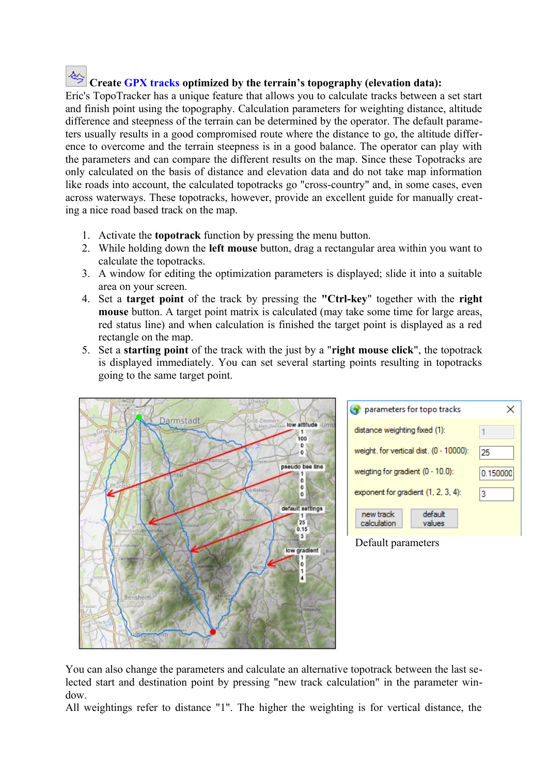# **Create GPX tracks optimized by the terrain's topography (elevation data):**

Eric's TopoTracker has a unique feature that allows you to calculate tracks between a set start and finish point using the topography. Calculation parameters for weighting distance, altitude difference and steepness of the terrain can be determined by the operator. The default parameters usually results in a good compromised route where the distance to go, the altitude difference to overcome and the terrain steepness is in a good balance. The operator can play with the parameters and can compare the different results on the map. Since these Topotracks are only calculated on the basis of distance and elevation data and do not take map information like roads into account, the calculated topotracks go "cross-country" and, in some cases, even across waterways. These topotracks, however, provide an excellent guide for manually creating a nice road based track on the map.

- 1. Activate the **topotrack** function by pressing the menu button.
- 2. While holding down the **left mouse** button, drag a rectangular area within you want to calculate the topotracks.
- 3. A window for editing the optimization parameters is displayed; slide it into a suitable area on your screen.
- 4. Set a **target point** of the track by pressing the **"Ctrl-key**" together with the **right mouse** button. A target point matrix is calculated (may take some time for large areas, red status line) and when calculation is finished the target point is displayed as a red rectangle on the map.
- 5. Set a **starting point** of the track with the just by a "**right mouse click**", the topotrack is displayed immediately. You can set several starting points resulting in topotracks going to the same target point.



| parameters for topo tracks                    |          |
|-----------------------------------------------|----------|
| distance weighting fixed (1):                 |          |
| weight. for vertical dist. (0 - 10000):       | 25       |
| weigting for gradient (0 - 10.0):             | 0.150000 |
| exponent for gradient (1, 2, 3, 4):           | 3        |
| default<br>new track<br>calculation<br>values |          |

#### Default parameters

You can also change the parameters and calculate an alternative topotrack between the last selected start and destination point by pressing "new track calculation" in the parameter window.

All weightings refer to distance "1". The higher the weighting is for vertical distance, the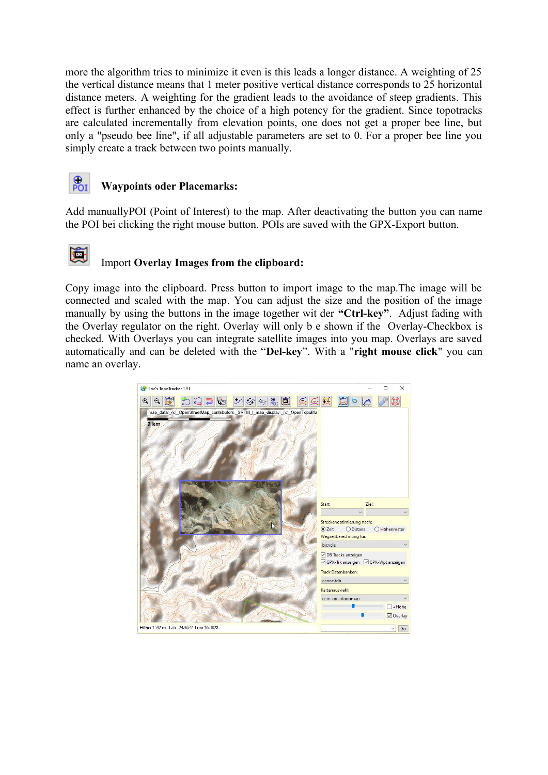more the algorithm tries to minimize it even is this leads a longer distance. A weighting of 25 the vertical distance means that 1 meter positive vertical distance corresponds to 25 horizontal distance meters. A weighting for the gradient leads to the avoidance of steep gradients. This effect is further enhanced by the choice of a high potency for the gradient. Since topotracks are calculated incrementally from elevation points, one does not get a proper bee line, but only a "pseudo bee line", if all adjustable parameters are set to 0. For a proper bee line you simply create a track between two points manually.



Ŀ

#### **Waypoints oder Placemarks:**

Add manuallyPOI (Point of Interest) to the map. After deactivating the button you can name the POI bei clicking the right mouse button. POIs are saved with the GPX-Export button.

### Import **Overlay Images from the clipboard:**

Copy image into the clipboard. Press button to import image to the map.The image will be connected and scaled with the map. You can adjust the size and the position of the image manually by using the buttons in the image together wit der **"Ctrl-key"**. Adjust fading with the Overlay regulator on the right. Overlay will only b e shown if the Overlay-Checkbox is checked. With Overlays you can integrate satellite images into you map. Overlays are saved automatically and can be deleted with the "**Del-key**". With a "**right mouse click**" you can name an overlay.

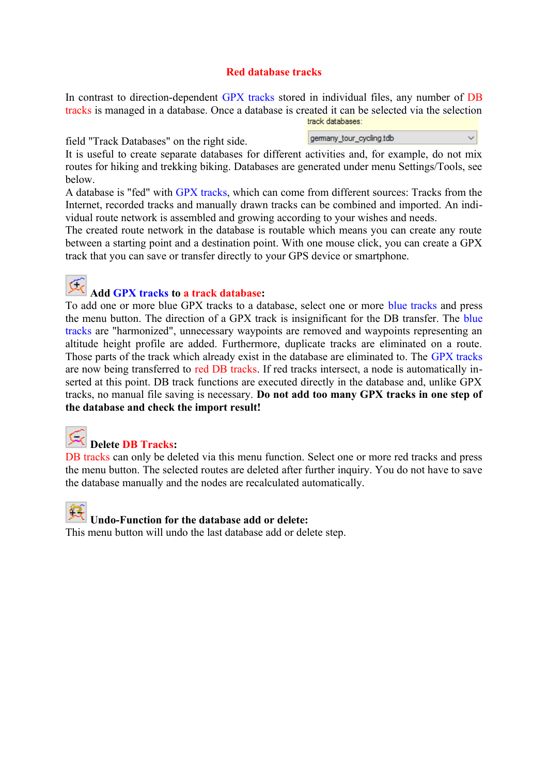#### **Red database tracks**

In contrast to direction-dependent GPX tracks stored in individual files, any number of DB tracks is managed in a database. Once a database is created it can be selected via the selection track databases:

field "Track Databases" on the right side.

gemany\_tour\_cycling.tdb

 $\ddot{\phantom{0}}$ 

It is useful to create separate databases for different activities and, for example, do not mix routes for hiking and trekking biking. Databases are generated under menu Settings/Tools, see below.

A database is "fed" with GPX tracks, which can come from different sources: Tracks from the Internet, recorded tracks and manually drawn tracks can be combined and imported. An individual route network is assembled and growing according to your wishes and needs.

The created route network in the database is routable which means you can create any route between a starting point and a destination point. With one mouse click, you can create a GPX track that you can save or transfer directly to your GPS device or smartphone.

C

#### **Add GPX tracks to a track database:**

To add one or more blue GPX tracks to a database, select one or more blue tracks and press the menu button. The direction of a GPX track is insignificant for the DB transfer. The blue tracks are "harmonized", unnecessary waypoints are removed and waypoints representing an altitude height profile are added. Furthermore, duplicate tracks are eliminated on a route. Those parts of the track which already exist in the database are eliminated to. The GPX tracks are now being transferred to red DB tracks. If red tracks intersect, a node is automatically inserted at this point. DB track functions are executed directly in the database and, unlike GPX tracks, no manual file saving is necessary. **Do not add too many GPX tracks in one step of the database and check the import result!**

## **Delete DB Tracks:**

DB tracks can only be deleted via this menu function. Select one or more red tracks and press the menu button. The selected routes are deleted after further inquiry. You do not have to save the database manually and the nodes are recalculated automatically.



This menu button will undo the last database add or delete step.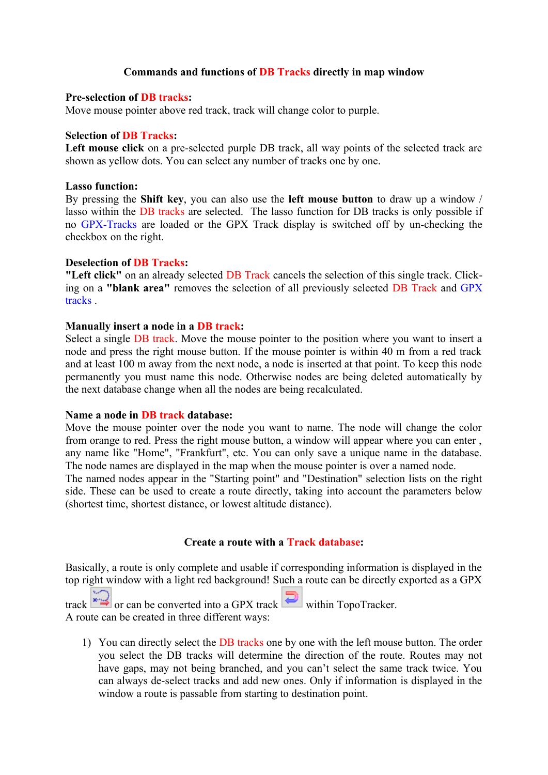#### **Commands and functions of DB Tracks directly in map window**

#### **Pre-selection of DB tracks:**

Move mouse pointer above red track, track will change color to purple.

#### **Selection of DB Tracks:**

**Left mouse click** on a pre-selected purple DB track, all way points of the selected track are shown as yellow dots. You can select any number of tracks one by one.

#### **Lasso function:**

By pressing the **Shift key**, you can also use the **left mouse button** to draw up a window / lasso within the DB tracks are selected. The lasso function for DB tracks is only possible if no GPX-Tracks are loaded or the GPX Track display is switched off by un-checking the checkbox on the right.

#### **Deselection of DB Tracks:**

**"Left click"** on an already selected DB Track cancels the selection of this single track. Clicking on a **"blank area"** removes the selection of all previously selected DB Track and GPX tracks .

#### **Manually insert a node in a DB track:**

Select a single DB track. Move the mouse pointer to the position where you want to insert a node and press the right mouse button. If the mouse pointer is within 40 m from a red track and at least 100 m away from the next node, a node is inserted at that point. To keep this node permanently you must name this node. Otherwise nodes are being deleted automatically by the next database change when all the nodes are being recalculated.

#### **Name a node in DB track database:**

Move the mouse pointer over the node you want to name. The node will change the color from orange to red. Press the right mouse button, a window will appear where you can enter , any name like "Home", "Frankfurt", etc. You can only save a unique name in the database. The node names are displayed in the map when the mouse pointer is over a named node.

The named nodes appear in the "Starting point" and "Destination" selection lists on the right side. These can be used to create a route directly, taking into account the parameters below (shortest time, shortest distance, or lowest altitude distance).

#### **Create a route with a Track database:**

Basically, a route is only complete and usable if corresponding information is displayed in the top right window with a light red background! Such a route can be directly exported as a GPX

track  $\rightarrow$  or can be converted into a GPX track within TopoTracker. A route can be created in three different ways:

1) You can directly select the DB tracks one by one with the left mouse button. The order you select the DB tracks will determine the direction of the route. Routes may not have gaps, may not being branched, and you can't select the same track twice. You can always de-select tracks and add new ones. Only if information is displayed in the window a route is passable from starting to destination point.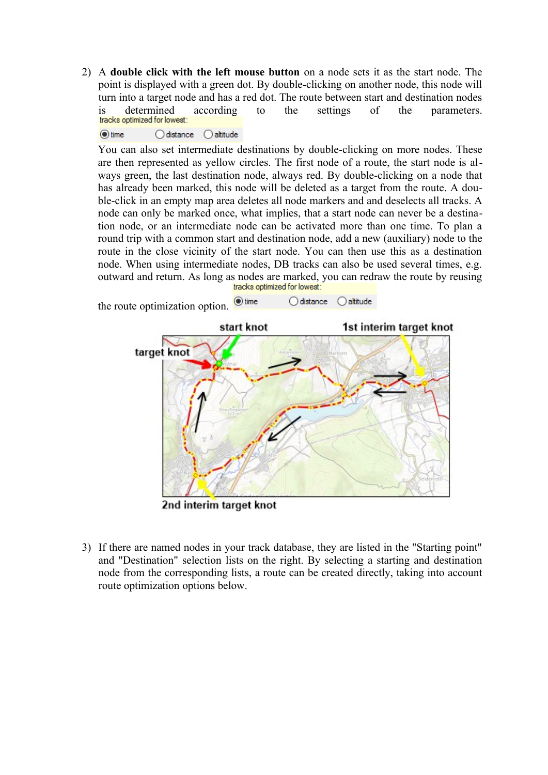2) A **double click with the left mouse button** on a node sets it as the start node. The point is displayed with a green dot. By double-clicking on another node, this node will turn into a target node and has a red dot. The route between start and destination nodes is determined according to the settings of the parameters.<br> **tracks optimized for lowest:** 

 $\odot$  time  $\bigcirc$  distance  $\bigcirc$  altitude

You can also set intermediate destinations by double-clicking on more nodes. These are then represented as yellow circles. The first node of a route, the start node is always green, the last destination node, always red. By double-clicking on a node that has already been marked, this node will be deleted as a target from the route. A double-click in an empty map area deletes all node markers and and deselects all tracks. A node can only be marked once, what implies, that a start node can never be a destination node, or an intermediate node can be activated more than one time. To plan a round trip with a common start and destination node, add a new (auxiliary) node to the route in the close vicinity of the start node. You can then use this as a destination node. When using intermediate nodes, DB tracks can also be used several times, e.g. outward and return. As long as nodes are marked, you can redraw the route by reusing<br>tracks optimized for lowest:





2nd interim target knot

3) If there are named nodes in your track database, they are listed in the "Starting point" and "Destination" selection lists on the right. By selecting a starting and destination node from the corresponding lists, a route can be created directly, taking into account route optimization options below.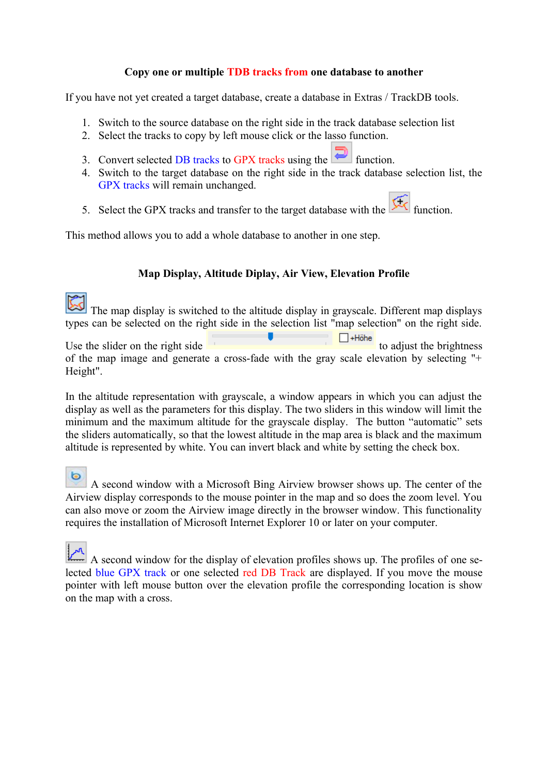#### **Copy one or multiple TDB tracks from one database to another**

If you have not yet created a target database, create a database in Extras / TrackDB tools.

- 1. Switch to the source database on the right side in the track database selection list
- 2. Select the tracks to copy by left mouse click or the lasso function.
- 3. Convert selected DB tracks to GPX tracks using the  $\Box$  function.
- 4. Switch to the target database on the right side in the track database selection list, the GPX tracks will remain unchanged.
- 5. Select the GPX tracks and transfer to the target database with the  $\frac{f}{f}$  function.

This method allows you to add a whole database to another in one step.

#### **Map Display, Altitude Diplay, Air View, Elevation Profile**

The map display is switched to the altitude display in grayscale. Different map displays types can be selected on the right side in the selection list "map selection" on the right side.

Use the slider on the right side  $\Box$   $\Box$   $\Box$   $\Box$   $\Box$   $\Box$   $\Box$  to adjust the brightness of the map image and generate a cross-fade with the gray scale elevation by selecting "+ Height".

In the altitude representation with grayscale, a window appears in which you can adjust the display as well as the parameters for this display. The two sliders in this window will limit the minimum and the maximum altitude for the grayscale display. The button "automatic" sets the sliders automatically, so that the lowest altitude in the map area is black and the maximum altitude is represented by white. You can invert black and white by setting the check box.

O A second window with a Microsoft Bing Airview browser shows up. The center of the Airview display corresponds to the mouse pointer in the map and so does the zoom level. You can also move or zoom the Airview image directly in the browser window. This functionality requires the installation of Microsoft Internet Explorer 10 or later on your computer.

A second window for the display of elevation profiles shows up. The profiles of one selected blue GPX track or one selected red DB Track are displayed. If you move the mouse pointer with left mouse button over the elevation profile the corresponding location is show on the map with a cross.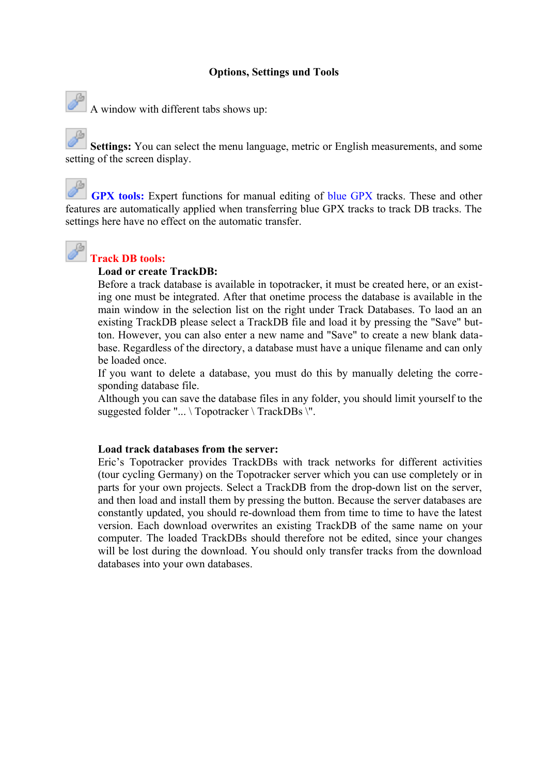#### **Options, Settings und Tools**



 $\mathcal{A}$  window with different tabs shows up:

**Settings:** You can select the menu language, metric or English measurements, and some setting of the screen display.

**GPX tools:** Expert functions for manual editing of blue GPX tracks. These and other features are automatically applied when transferring blue GPX tracks to track DB tracks. The settings here have no effect on the automatic transfer.



#### **Track DB tools:**

#### **Load or create TrackDB:**

Before a track database is available in topotracker, it must be created here, or an existing one must be integrated. After that onetime process the database is available in the main window in the selection list on the right under Track Databases. To laod an an existing TrackDB please select a TrackDB file and load it by pressing the "Save" button. However, you can also enter a new name and "Save" to create a new blank database. Regardless of the directory, a database must have a unique filename and can only be loaded once.

If you want to delete a database, you must do this by manually deleting the corresponding database file.

Although you can save the database files in any folder, you should limit yourself to the suggested folder "... \ Topotracker \ TrackDBs \".

#### **Load track databases from the server:**

Eric's Topotracker provides TrackDBs with track networks for different activities (tour cycling Germany) on the Topotracker server which you can use completely or in parts for your own projects. Select a TrackDB from the drop-down list on the server, and then load and install them by pressing the button. Because the server databases are constantly updated, you should re-download them from time to time to have the latest version. Each download overwrites an existing TrackDB of the same name on your computer. The loaded TrackDBs should therefore not be edited, since your changes will be lost during the download. You should only transfer tracks from the download databases into your own databases.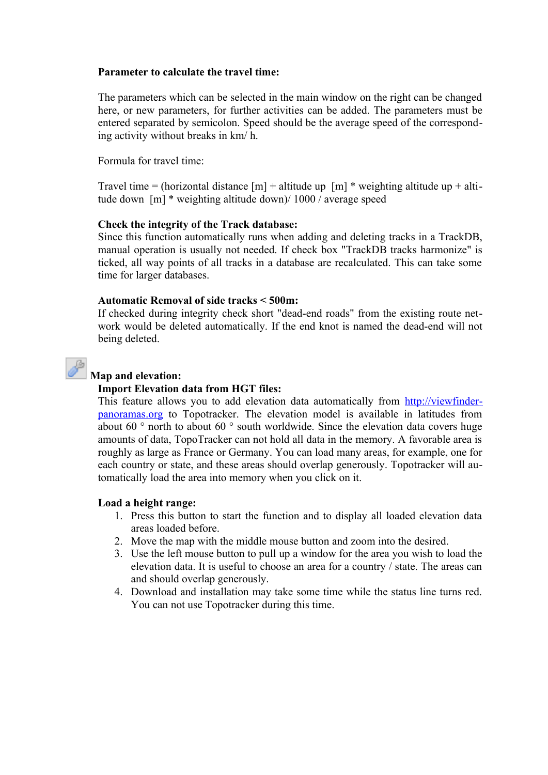#### **Parameter to calculate the travel time:**

The parameters which can be selected in the main window on the right can be changed here, or new parameters, for further activities can be added. The parameters must be entered separated by semicolon. Speed should be the average speed of the corresponding activity without breaks in km/ h.

Formula for travel time:

Travel time = (horizontal distance  $[m]$  + altitude up  $[m]$  \* weighting altitude up + altitude down [m] \* weighting altitude down)/ 1000 / average speed

#### **Check the integrity of the Track database:**

Since this function automatically runs when adding and deleting tracks in a TrackDB, manual operation is usually not needed. If check box "TrackDB tracks harmonize" is ticked, all way points of all tracks in a database are recalculated. This can take some time for larger databases.

#### **Automatic Removal of side tracks < 500m:**

If checked during integrity check short "dead-end roads" from the existing route network would be deleted automatically. If the end knot is named the dead-end will not being deleted.



#### **Map and elevation:**

#### **Import Elevation data from HGT files:**

This feature allows you to add elevation data automatically from [http://viewfinder](http://viewfinderpanoramas.org/)[panoramas.org](http://viewfinderpanoramas.org/) to Topotracker. The elevation model is available in latitudes from about 60 ° north to about 60 ° south worldwide. Since the elevation data covers huge amounts of data, TopoTracker can not hold all data in the memory. A favorable area is roughly as large as France or Germany. You can load many areas, for example, one for each country or state, and these areas should overlap generously. Topotracker will automatically load the area into memory when you click on it.

#### **Load a height range:**

- 1. Press this button to start the function and to display all loaded elevation data areas loaded before.
- 2. Move the map with the middle mouse button and zoom into the desired.
- 3. Use the left mouse button to pull up a window for the area you wish to load the elevation data. It is useful to choose an area for a country / state. The areas can and should overlap generously.
- 4. Download and installation may take some time while the status line turns red. You can not use Topotracker during this time.